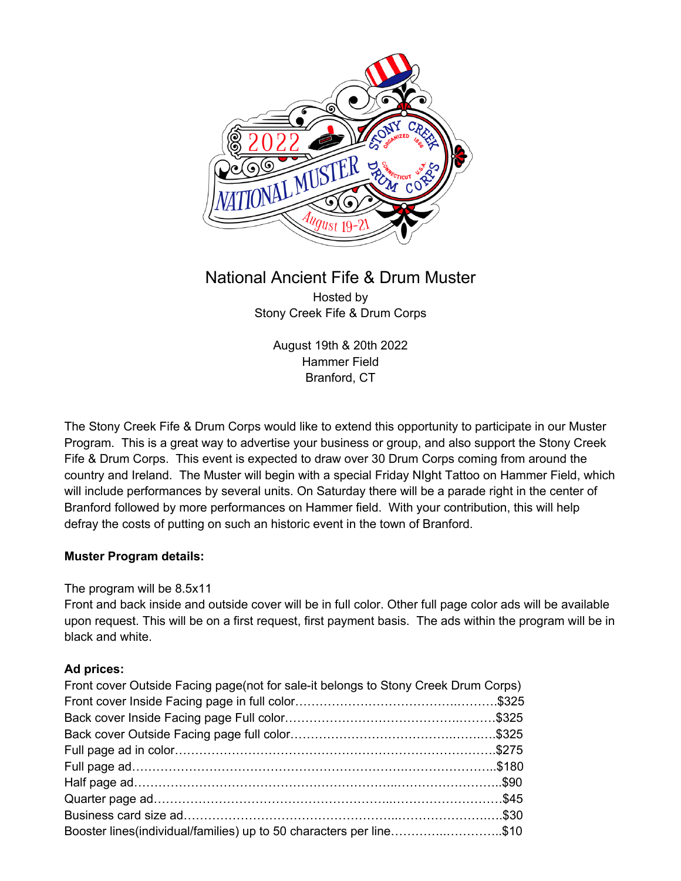

# National Ancient Fife & Drum Muster Hosted by Stony Creek Fife & Drum Corps

August 19th & 20th 2022 Hammer Field Branford, CT

The Stony Creek Fife & Drum Corps would like to extend this opportunity to participate in our Muster Program. This is a great way to advertise your business or group, and also support the Stony Creek Fife & Drum Corps. This event is expected to draw over 30 Drum Corps coming from around the country and Ireland. The Muster will begin with a special Friday NIght Tattoo on Hammer Field, which will include performances by several units. On Saturday there will be a parade right in the center of Branford followed by more performances on Hammer field. With your contribution, this will help defray the costs of putting on such an historic event in the town of Branford.

## **Muster Program details:**

## The program will be 8.5x11

Front and back inside and outside cover will be in full color. Other full page color ads will be available upon request. This will be on a first request, first payment basis. The ads within the program will be in black and white.

## **Ad prices:**

| Front cover Outside Facing page (not for sale-it belongs to Stony Creek Drum Corps) |  |
|-------------------------------------------------------------------------------------|--|
|                                                                                     |  |
|                                                                                     |  |
|                                                                                     |  |
|                                                                                     |  |
|                                                                                     |  |
|                                                                                     |  |
|                                                                                     |  |
|                                                                                     |  |
| Booster lines (individual/families) up to 50 characters per line\$10                |  |